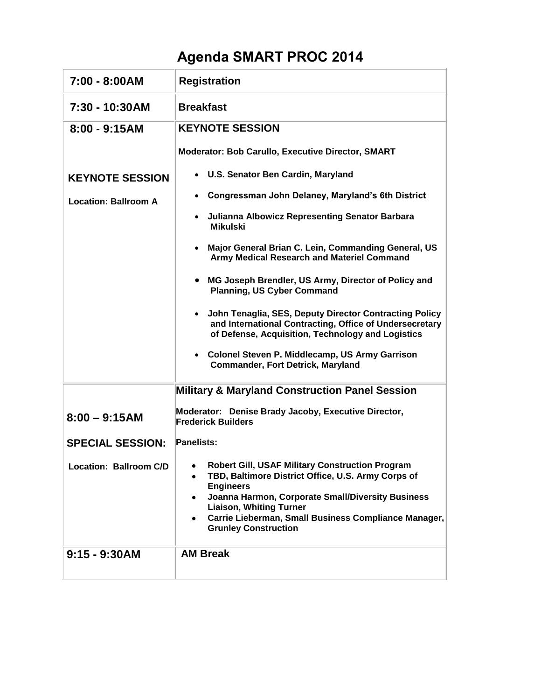## **Agenda SMART PROC 2014**

| 7:00 - 8:00AM               | <b>Registration</b>                                                                                                                                                                                                                                                                                                            |
|-----------------------------|--------------------------------------------------------------------------------------------------------------------------------------------------------------------------------------------------------------------------------------------------------------------------------------------------------------------------------|
| 7:30 - 10:30AM              | <b>Breakfast</b>                                                                                                                                                                                                                                                                                                               |
| $8:00 - 9:15AM$             | <b>KEYNOTE SESSION</b>                                                                                                                                                                                                                                                                                                         |
|                             | <b>Moderator: Bob Carullo, Executive Director, SMART</b>                                                                                                                                                                                                                                                                       |
| <b>KEYNOTE SESSION</b>      | • U.S. Senator Ben Cardin, Maryland                                                                                                                                                                                                                                                                                            |
| <b>Location: Ballroom A</b> | Congressman John Delaney, Maryland's 6th District                                                                                                                                                                                                                                                                              |
|                             | <b>Julianna Albowicz Representing Senator Barbara</b><br><b>Mikulski</b>                                                                                                                                                                                                                                                       |
|                             | Major General Brian C. Lein, Commanding General, US<br>Army Medical Research and Materiel Command                                                                                                                                                                                                                              |
|                             | MG Joseph Brendler, US Army, Director of Policy and<br><b>Planning, US Cyber Command</b>                                                                                                                                                                                                                                       |
|                             | • John Tenaglia, SES, Deputy Director Contracting Policy<br>and International Contracting, Office of Undersecretary<br>of Defense, Acquisition, Technology and Logistics                                                                                                                                                       |
|                             | • Colonel Steven P. Middlecamp, US Army Garrison<br><b>Commander, Fort Detrick, Maryland</b>                                                                                                                                                                                                                                   |
|                             | <b>Military &amp; Maryland Construction Panel Session</b>                                                                                                                                                                                                                                                                      |
| $8:00 - 9:15AM$             | Moderator: Denise Brady Jacoby, Executive Director,<br><b>Frederick Builders</b>                                                                                                                                                                                                                                               |
| <b>SPECIAL SESSION:</b>     | <b>Panelists:</b>                                                                                                                                                                                                                                                                                                              |
| Location: Ballroom C/D      | Robert Gill, USAF Military Construction Program<br>TBD, Baltimore District Office, U.S. Army Corps of<br>٠<br><b>Engineers</b><br>Joanna Harmon, Corporate Small/Diversity Business<br>٠<br><b>Liaison, Whiting Turner</b><br>Carrie Lieberman, Small Business Compliance Manager,<br>$\bullet$<br><b>Grunley Construction</b> |
| $9:15 - 9:30AM$             | <b>AM Break</b>                                                                                                                                                                                                                                                                                                                |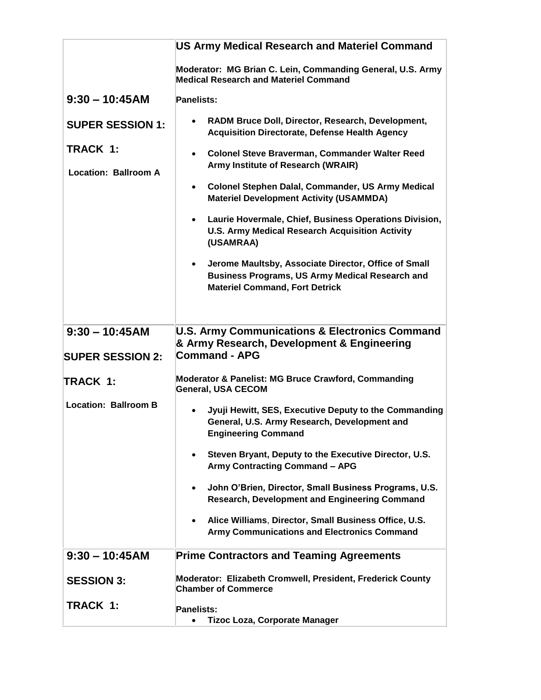|                                         | <b>US Army Medical Research and Materiel Command</b>                                                                                                                 |
|-----------------------------------------|----------------------------------------------------------------------------------------------------------------------------------------------------------------------|
|                                         | Moderator: MG Brian C. Lein, Commanding General, U.S. Army<br><b>Medical Research and Materiel Command</b>                                                           |
| $9:30 - 10:45AM$                        | <b>Panelists:</b>                                                                                                                                                    |
| <b>SUPER SESSION 1:</b>                 | RADM Bruce Doll, Director, Research, Development,<br><b>Acquisition Directorate, Defense Health Agency</b>                                                           |
| TRACK 1:<br><b>Location: Ballroom A</b> | <b>Colonel Steve Braverman, Commander Walter Reed</b><br>$\bullet$<br>Army Institute of Research (WRAIR)                                                             |
|                                         | Colonel Stephen Dalal, Commander, US Army Medical<br>$\bullet$<br><b>Materiel Development Activity (USAMMDA)</b>                                                     |
|                                         | Laurie Hovermale, Chief, Business Operations Division,<br>$\bullet$<br><b>U.S. Army Medical Research Acquisition Activity</b><br>(USAMRAA)                           |
|                                         | Jerome Maultsby, Associate Director, Office of Small<br>$\bullet$<br><b>Business Programs, US Army Medical Research and</b><br><b>Materiel Command, Fort Detrick</b> |
|                                         |                                                                                                                                                                      |
| $9:30 - 10:45AM$                        | <b>U.S. Army Communications &amp; Electronics Command</b><br>& Army Research, Development & Engineering                                                              |
| <b>SUPER SESSION 2:</b>                 | Command - APG                                                                                                                                                        |
| TRACK 1:                                | Moderator & Panelist: MG Bruce Crawford, Commanding<br><b>General, USA CECOM</b>                                                                                     |
| <b>Location: Ballroom B</b>             | Jyuji Hewitt, SES, Executive Deputy to the Commanding<br>$\bullet$<br>General, U.S. Army Research, Development and<br><b>Engineering Command</b>                     |
|                                         | Steven Bryant, Deputy to the Executive Director, U.S.<br><b>Army Contracting Command - APG</b>                                                                       |
|                                         | John O'Brien, Director, Small Business Programs, U.S.<br>Research, Development and Engineering Command                                                               |
|                                         | Alice Williams, Director, Small Business Office, U.S.<br>Army Communications and Electronics Command                                                                 |
| $9:30 - 10:45AM$                        | <b>Prime Contractors and Teaming Agreements</b>                                                                                                                      |
| <b>SESSION 3:</b>                       | Moderator: Elizabeth Cromwell, President, Frederick County<br><b>Chamber of Commerce</b>                                                                             |
| TRACK 1:                                | <b>Panelists:</b><br><b>Tizoc Loza, Corporate Manager</b>                                                                                                            |
|                                         |                                                                                                                                                                      |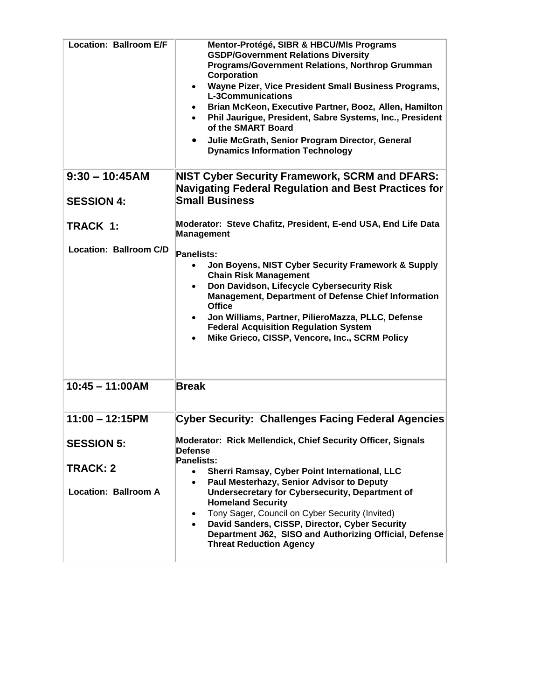| <b>Location: Ballroom E/F</b><br>$9:30 - 10:45AM$ | Mentor-Protégé, SIBR & HBCU/MIs Programs<br><b>GSDP/Government Relations Diversity</b><br><b>Programs/Government Relations, Northrop Grumman</b><br>Corporation<br>Wayne Pizer, Vice President Small Business Programs,<br>$\bullet$<br><b>L-3Communications</b><br>Brian McKeon, Executive Partner, Booz, Allen, Hamilton<br>Phil Jaurigue, President, Sabre Systems, Inc., President<br>of the SMART Board<br>Julie McGrath, Senior Program Director, General<br><b>Dynamics Information Technology</b><br><b>NIST Cyber Security Framework, SCRM and DFARS:</b> |
|---------------------------------------------------|--------------------------------------------------------------------------------------------------------------------------------------------------------------------------------------------------------------------------------------------------------------------------------------------------------------------------------------------------------------------------------------------------------------------------------------------------------------------------------------------------------------------------------------------------------------------|
| <b>SESSION 4:</b>                                 | <b>Navigating Federal Regulation and Best Practices for</b><br><b>Small Business</b>                                                                                                                                                                                                                                                                                                                                                                                                                                                                               |
| TRACK 1:                                          | Moderator: Steve Chafitz, President, E-end USA, End Life Data<br>Management                                                                                                                                                                                                                                                                                                                                                                                                                                                                                        |
| Location: Ballroom C/D                            | Panelists:<br>Jon Boyens, NIST Cyber Security Framework & Supply<br><b>Chain Risk Management</b><br>Don Davidson, Lifecycle Cybersecurity Risk<br>Management, Department of Defense Chief Information<br><b>Office</b><br>Jon Williams, Partner, PilieroMazza, PLLC, Defense<br><b>Federal Acquisition Regulation System</b><br>Mike Grieco, CISSP, Vencore, Inc., SCRM Policy                                                                                                                                                                                     |
| $10:45 - 11:00AM$                                 | <b>Break</b>                                                                                                                                                                                                                                                                                                                                                                                                                                                                                                                                                       |
| $11:00 - 12:15PM$                                 | <b>Cyber Security: Challenges Facing Federal Agencies</b>                                                                                                                                                                                                                                                                                                                                                                                                                                                                                                          |
| <b>SESSION 5:</b>                                 | Moderator: Rick Mellendick, Chief Security Officer, Signals<br><b>Defense</b><br>Panelists:                                                                                                                                                                                                                                                                                                                                                                                                                                                                        |
| <b>TRACK: 2</b>                                   | Sherri Ramsay, Cyber Point International, LLC<br>$\bullet$                                                                                                                                                                                                                                                                                                                                                                                                                                                                                                         |
| <b>Location: Ballroom A</b>                       | Paul Mesterhazy, Senior Advisor to Deputy<br>$\bullet$<br>Undersecretary for Cybersecurity, Department of<br><b>Homeland Security</b><br>Tony Sager, Council on Cyber Security (Invited)<br>$\bullet$<br>David Sanders, CISSP, Director, Cyber Security<br>Department J62, SISO and Authorizing Official, Defense<br><b>Threat Reduction Agency</b>                                                                                                                                                                                                                |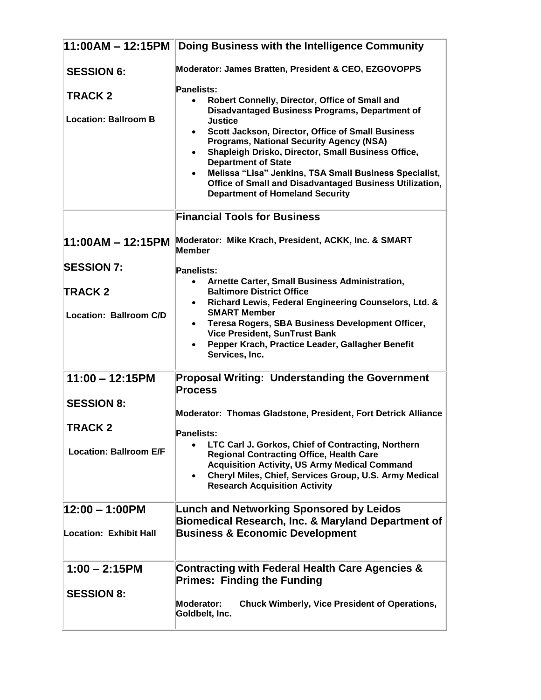| $11:00AM - 12:15PM$                           | Doing Business with the Intelligence Community                                                                                                                                                                                                                                                                                                                                                                                                                                                                                                         |
|-----------------------------------------------|--------------------------------------------------------------------------------------------------------------------------------------------------------------------------------------------------------------------------------------------------------------------------------------------------------------------------------------------------------------------------------------------------------------------------------------------------------------------------------------------------------------------------------------------------------|
| <b>SESSION 6:</b>                             | Moderator: James Bratten, President & CEO, EZGOVOPPS                                                                                                                                                                                                                                                                                                                                                                                                                                                                                                   |
| <b>TRACK 2</b><br><b>Location: Ballroom B</b> | Panelists:<br>Robert Connelly, Director, Office of Small and<br>$\bullet$<br><b>Disadvantaged Business Programs, Department of</b><br><b>Justice</b><br>Scott Jackson, Director, Office of Small Business<br>$\bullet$<br><b>Programs, National Security Agency (NSA)</b><br>Shapleigh Drisko, Director, Small Business Office,<br>$\bullet$<br><b>Department of State</b><br>Melissa "Lisa" Jenkins, TSA Small Business Specialist,<br>$\bullet$<br>Office of Small and Disadvantaged Business Utilization,<br><b>Department of Homeland Security</b> |
|                                               | <b>Financial Tools for Business</b>                                                                                                                                                                                                                                                                                                                                                                                                                                                                                                                    |
|                                               | 11:00AM - 12:15PM Moderator: Mike Krach, President, ACKK, Inc. & SMART<br><b>Member</b>                                                                                                                                                                                                                                                                                                                                                                                                                                                                |
| <b>SESSION 7:</b>                             | <b>Panelists:</b>                                                                                                                                                                                                                                                                                                                                                                                                                                                                                                                                      |
| <b>TRACK 2</b>                                | Arnette Carter, Small Business Administration,<br>$\bullet$<br><b>Baltimore District Office</b>                                                                                                                                                                                                                                                                                                                                                                                                                                                        |
| <b>Location: Ballroom C/D</b>                 | Richard Lewis, Federal Engineering Counselors, Ltd. &<br>$\bullet$<br><b>SMART Member</b><br>Teresa Rogers, SBA Business Development Officer,<br>$\bullet$<br><b>Vice President, SunTrust Bank</b><br>Pepper Krach, Practice Leader, Gallagher Benefit<br>Services, Inc.                                                                                                                                                                                                                                                                               |
| $11:00 - 12:15PM$                             | <b>Proposal Writing: Understanding the Government</b>                                                                                                                                                                                                                                                                                                                                                                                                                                                                                                  |
|                                               | <b>Process</b>                                                                                                                                                                                                                                                                                                                                                                                                                                                                                                                                         |
| <b>SESSION 8:</b>                             | Moderator: Thomas Gladstone, President, Fort Detrick Alliance                                                                                                                                                                                                                                                                                                                                                                                                                                                                                          |
| <b>TRACK 2</b>                                | <b>Panelists:</b>                                                                                                                                                                                                                                                                                                                                                                                                                                                                                                                                      |
| <b>Location: Ballroom E/F</b>                 | LTC Carl J. Gorkos, Chief of Contracting, Northern<br>$\bullet$<br><b>Regional Contracting Office, Health Care</b><br><b>Acquisition Activity, US Army Medical Command</b><br>Cheryl Miles, Chief, Services Group, U.S. Army Medical<br><b>Research Acquisition Activity</b>                                                                                                                                                                                                                                                                           |
| 12:00 - 1:00PM                                | <b>Lunch and Networking Sponsored by Leidos</b><br>Biomedical Research, Inc. & Maryland Department of                                                                                                                                                                                                                                                                                                                                                                                                                                                  |
| Location: Exhibit Hall                        | <b>Business &amp; Economic Development</b>                                                                                                                                                                                                                                                                                                                                                                                                                                                                                                             |
| $1:00 - 2:15$ PM                              | <b>Contracting with Federal Health Care Agencies &amp;</b><br><b>Primes: Finding the Funding</b>                                                                                                                                                                                                                                                                                                                                                                                                                                                       |
| <b>SESSION 8:</b>                             | <b>Chuck Wimberly, Vice President of Operations,</b><br>Moderator:<br>Goldbelt, Inc.                                                                                                                                                                                                                                                                                                                                                                                                                                                                   |